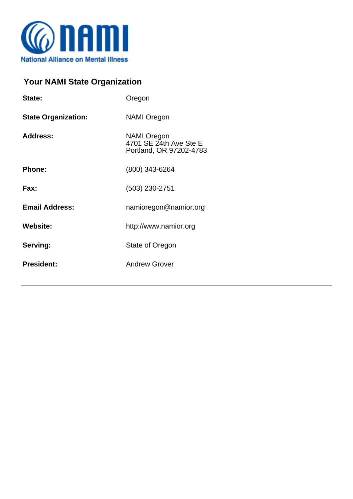

## **Your NAMI State Organization**

| State:                     | Oregon                                                                  |
|----------------------------|-------------------------------------------------------------------------|
| <b>State Organization:</b> | <b>NAMI Oregon</b>                                                      |
| <b>Address:</b>            | <b>NAMI Oregon</b><br>4701 SE 24th Ave Ste E<br>Portland, OR 97202-4783 |
| Phone:                     | (800) 343-6264                                                          |
| Fax:                       | $(503)$ 230-2751                                                        |
| <b>Email Address:</b>      | namioregon@namior.org                                                   |
| <b>Website:</b>            | http://www.namior.org                                                   |
| Serving:                   | State of Oregon                                                         |
| <b>President:</b>          | <b>Andrew Grover</b>                                                    |
|                            |                                                                         |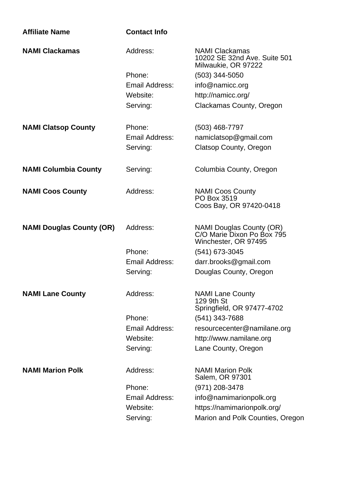| <b>Affiliate Name</b>           | <b>Contact Info</b>   |                                                                                |
|---------------------------------|-----------------------|--------------------------------------------------------------------------------|
| <b>NAMI Clackamas</b>           | Address:              | <b>NAMI Clackamas</b><br>10202 SE 32nd Ave. Suite 501<br>Milwaukie, OR 97222   |
|                                 | Phone:                | $(503)$ 344-5050                                                               |
|                                 | Email Address:        | info@namicc.org                                                                |
|                                 | Website:              | http://namicc.org/                                                             |
|                                 | Serving:              | Clackamas County, Oregon                                                       |
| <b>NAMI Clatsop County</b>      | Phone:                | $(503)$ 468-7797                                                               |
|                                 | Email Address:        | namiclatsop@gmail.com                                                          |
|                                 | Serving:              | Clatsop County, Oregon                                                         |
| <b>NAMI Columbia County</b>     | Serving:              | Columbia County, Oregon                                                        |
| <b>NAMI Coos County</b>         | Address:              | <b>NAMI Coos County</b><br>PO Box 3519<br>Coos Bay, OR 97420-0418              |
| <b>NAMI Douglas County (OR)</b> | Address:              | NAMI Douglas County (OR)<br>C/O Marie Dixon Po Box 795<br>Winchester, OR 97495 |
|                                 | Phone:                | (541) 673-3045                                                                 |
|                                 | Email Address:        | darr.brooks@gmail.com                                                          |
|                                 | Serving:              | Douglas County, Oregon                                                         |
| <b>NAMI Lane County</b>         | Address:              | <b>NAMI Lane County</b><br>129 9th St<br>Springfield, OR 97477-4702            |
|                                 | Phone:                | (541) 343-7688                                                                 |
|                                 | Email Address:        | resourcecenter@namilane.org                                                    |
|                                 | Website:              | http://www.namilane.org                                                        |
|                                 | Serving:              | Lane County, Oregon                                                            |
| <b>NAMI Marion Polk</b>         | Address:              | <b>NAMI Marion Polk</b><br>Salem, OR 97301                                     |
|                                 | Phone:                | (971) 208-3478                                                                 |
|                                 | <b>Email Address:</b> | info@namimarionpolk.org                                                        |
|                                 | Website:              | https://namimarionpolk.org/                                                    |
|                                 | Serving:              | Marion and Polk Counties, Oregon                                               |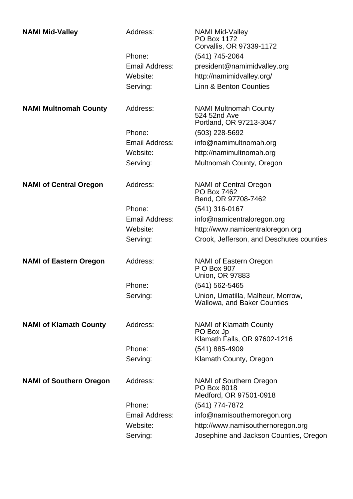| <b>NAMI Mid-Valley</b>         | Address:       | <b>NAMI Mid-Valley</b><br>PO Box 1172<br>Corvallis, OR 97339-1172          |
|--------------------------------|----------------|----------------------------------------------------------------------------|
|                                | Phone:         | (541) 745-2064                                                             |
|                                | Email Address: | president@namimidvalley.org                                                |
|                                | Website:       | http://namimidvalley.org/                                                  |
|                                | Serving:       | <b>Linn &amp; Benton Counties</b>                                          |
| <b>NAMI Multnomah County</b>   | Address:       | <b>NAMI Multnomah County</b><br>524 52nd Ave<br>Portland, OR 97213-3047    |
|                                | Phone:         | (503) 228-5692                                                             |
|                                | Email Address: | info@namimultnomah.org                                                     |
|                                | Website:       | http://namimultnomah.org                                                   |
|                                | Serving:       | Multnomah County, Oregon                                                   |
| <b>NAMI of Central Oregon</b>  | Address:       | <b>NAMI of Central Oregon</b><br>PO Box 7462<br>Bend, OR 97708-7462        |
|                                | Phone:         | (541) 316-0167                                                             |
|                                | Email Address: | info@namicentraloregon.org                                                 |
|                                | Website:       | http://www.namicentraloregon.org                                           |
|                                | Serving:       | Crook, Jefferson, and Deschutes counties                                   |
| <b>NAMI of Eastern Oregon</b>  | Address:       | NAMI of Eastern Oregon<br>P O Box 907<br><b>Union, OR 97883</b>            |
|                                | Phone:         | (541) 562-5465                                                             |
|                                | Serving:       | Union, Umatilla, Malheur, Morrow,<br>Wallowa, and Baker Counties           |
| <b>NAMI of Klamath County</b>  | Address:       | <b>NAMI of Klamath County</b><br>PO Box Jp<br>Klamath Falls, OR 97602-1216 |
|                                | Phone:         | (541) 885-4909                                                             |
|                                | Serving:       | Klamath County, Oregon                                                     |
| <b>NAMI of Southern Oregon</b> | Address:       | <b>NAMI of Southern Oregon</b><br>PO Box 8018<br>Medford, OR 97501-0918    |
|                                | Phone:         | (541) 774-7872                                                             |
|                                | Email Address: | info@namisouthernoregon.org                                                |
|                                | Website:       | http://www.namisouthernoregon.org                                          |
|                                | Serving:       | Josephine and Jackson Counties, Oregon                                     |
|                                |                |                                                                            |